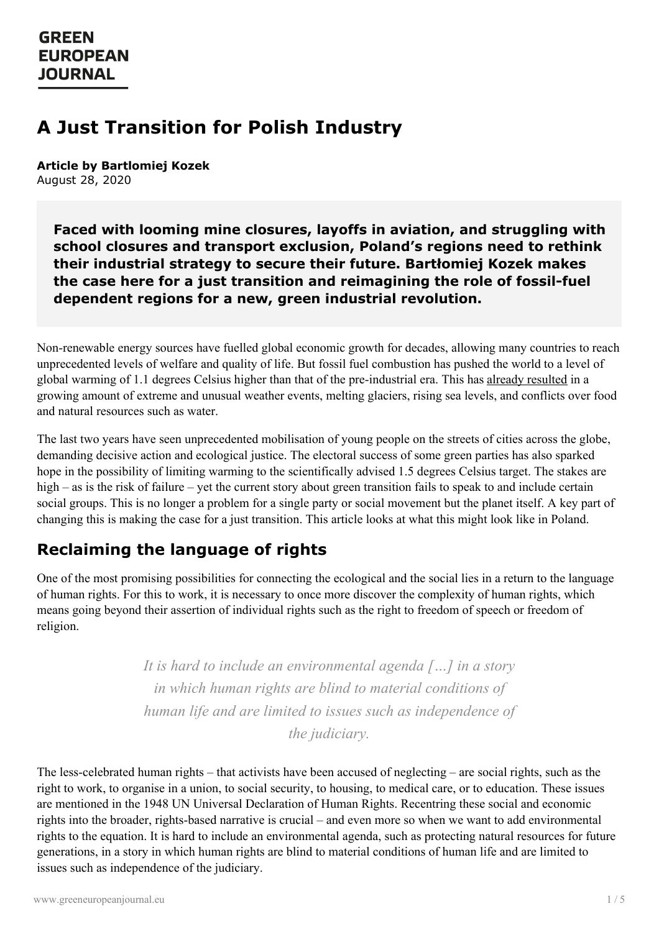# **A Just Transition for Polish Industry**

**Article by Bartlomiej Kozek** August 28, 2020

**Faced with looming mine closures, layoffs in aviation, and struggling with school closures and transport exclusion, Poland's regions need to rethink their industrial strategy to secure their future. Bartłomiej Kozek makes the case here for a just transition and reimagining the role of fossil-fuel dependent regions for a new, green industrial revolution.**

Non-renewable energy sources have fuelled global economic growth for decades, allowing many countries to reach unprecedented levels of welfare and quality of life. But fossil fuel combustion has pushed the world to a level of global warming of 1.1 degrees Celsius higher than that of the pre-industrial era. This has already [resulted](https://reliefweb.int/report/world/united-science-high-level-synthesis-report-latest-climate-science-information-convened) in a growing amount of extreme and unusual weather events, melting glaciers, rising sea levels, and conflicts over food and natural resources such as water.

The last two years have seen unprecedented mobilisation of young people on the streets of cities across the globe, demanding decisive action and ecological justice. The electoral success of some green parties has also sparked hope in the possibility of limiting warming to the scientifically advised 1.5 degrees Celsius target. The stakes are high – as is the risk of failure – yet the current story about green transition fails to speak to and include certain social groups. This is no longer a problem for a single party or social movement but the planet itself. A key part of changing this is making the case for a just transition. This article looks at what this might look like in Poland.

# **Reclaiming the language of rights**

One of the most promising possibilities for connecting the ecological and the social lies in a return to the language of human rights. For this to work, it is necessary to once more discover the complexity of human rights, which means going beyond their assertion of individual rights such as the right to freedom of speech or freedom of religion.

> *It is hard to include an environmental agenda […] in a story in which human rights are blind to material conditions of human life and are limited to issues such as independence of the judiciary.*

The less-celebrated human rights – that activists have been accused of neglecting – are social rights, such as the right to work, to [organise](https://www.greeneuropeanjournal.eu) in a union, to social security, to housing, to medical care, or to education. These issues are mentioned in the 1948 UN Universal Declaration of Human Rights. Recentring these social and economic rights into the broader, rights-based narrative is crucial – and even more so when we want to add environmental rights to the equation. It is hard to include an environmental agenda, such as protecting natural resources for future generations, in a story in which human rights are blind to material conditions of human life and are limited to issues such as independence of the judiciary.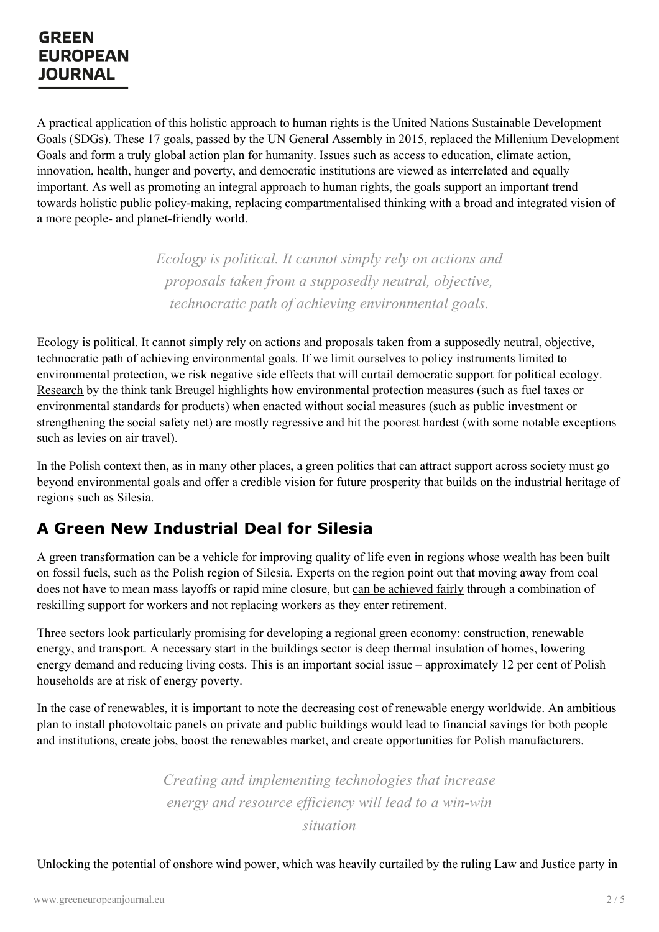A practical application of this holistic approach to human rights is the United Nations Sustainable Development Goals (SDGs). These 17 goals, passed by the UN General Assembly in 2015, replaced the Millenium Development Goals and form a truly global action plan for humanity. [Issues](https://sustainabledevelopment.un.org/?menu=1300) such as access to education, climate action, innovation, health, hunger and poverty, and democratic institutions are viewed as interrelated and equally important. As well as promoting an integral approach to human rights, the goals support an important trend towards holistic public policy-making, replacing compartmentalised thinking with a broad and integrated vision of a more people- and planet-friendly world.

> *Ecology is political. It cannot simply rely on actions and proposals taken from a supposedly neutral, objective, technocratic path of achieving environmental goals.*

Ecology is political. It cannot simply rely on actions and proposals taken from a supposedly neutral, objective, technocratic path of achieving environmental goals. If we limit ourselves to policy instruments limited to environmental protection, we risk negative side effects that will curtail democratic support for political ecology. [Research](http://bruegel.org/2018/11/distributional-effects-of-climate-policies/) by the think tank Breugel highlights how environmental protection measures (such as fuel taxes or environmental standards for products) when enacted without social measures (such as public investment or strengthening the social safety net) are mostly regressive and hit the poorest hardest (with some notable exceptions such as levies on air travel).

In the Polish context then, as in many other places, a green politics that can attract support across society must go beyond environmental goals and offer a credible vision for future prosperity that builds on the industrial heritage of regions such as Silesia.

# **A Green New Industrial Deal for Silesia**

A green transformation can be a vehicle for improving quality of life even in regions whose wealth has been built on fossil fuels, such as the Polish region of Silesia. Experts on the region point out that moving away from coal does not have to mean mass layoffs or rapid mine closure, but can be [achieved](http://ibs.org.pl/publications/transformacja-gornictwa-w-ambitnym-scenariuszu-dekarbonizacji-w-polsce-skutki-dla-rynku-pracy) fairly through a combination of reskilling support for workers and not replacing workers as they enter retirement.

Three sectors look particularly promising for developing a regional green economy: construction, renewable energy, and transport. A necessary start in the buildings sector is deep thermal insulation of homes, lowering energy demand and reducing living costs. This is an important social issue – approximately 12 per cent of Polish households are at risk of energy poverty.

In the case of renewables, it is important to note the decreasing cost of renewable energy worldwide. An ambitious plan to install photovoltaic panels on private and public buildings would lead to financial savings for both people and institutions, create jobs, boost the renewables market, and create opportunities for Polish manufacturers.

> *[C](https://www.greeneuropeanjournal.eu)reating and implementing technologies that increase energy and resource ef iciency will lead to a win-win situation*

Unlocking the potential of onshore wind power, which was heavily curtailed by the ruling Law and Justice party in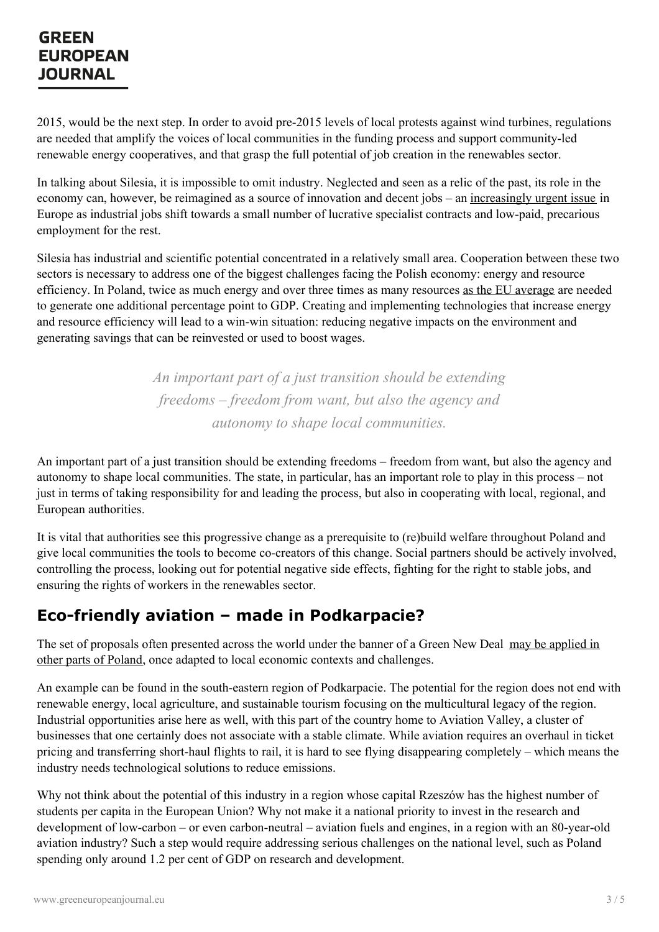2015, would be the next step. In order to avoid pre-2015 levels of local protests against wind turbines, regulations are needed that amplify the voices of local communities in the funding process and support community-led renewable energy cooperatives, and that grasp the full potential of job creation in the renewables sector.

In talking about Silesia, it is impossible to omit industry. Neglected and seen as a relic of the past, its role in the economy can, however, be reimagined as a source of innovation and decent jobs – an [increasingly](https://www.greeneuropeanjournal.eu/edition/work-on-the-horizon-tracking-employments-transformation-in-europe/) urgent issue in Europe as industrial jobs shift towards a small number of lucrative specialist contracts and low-paid, precarious employment for the rest.

Silesia has industrial and scientific potential concentrated in a relatively small area. Cooperation between these two sectors is necessary to address one of the biggest challenges facing the Polish economy: energy and resource efficiency. In Poland, twice as much energy and over three times as many resources as the EU [average](https://www2.deloitte.com/pl/en/pages/zarzadzania-procesami-i-strategiczne/articles/innowacje/raport-zamkniety-obieg-otwarte-mozliwosci.html) are needed to generate one additional percentage point to GDP. Creating and implementing technologies that increase energy and resource efficiency will lead to a win-win situation: reducing negative impacts on the environment and generating savings that can be reinvested or used to boost wages.

> *An important part of a just transition should be extending freedoms – freedom from want, but also the agency and autonomy to shape local communities.*

An important part of a just transition should be extending freedoms – freedom from want, but also the agency and autonomy to shape local communities. The state, in particular, has an important role to play in this process – not just in terms of taking responsibility for and leading the process, but also in cooperating with local, regional, and European authorities.

It is vital that authorities see this progressive change as a prerequisite to (re)build welfare throughout Poland and give local communities the tools to become co-creators of this change. Social partners should be actively involved, controlling the process, looking out for potential negative side effects, fighting for the right to stable jobs, and ensuring the rights of workers in the renewables sector.

# **Eco-friendly aviation – made in Podkarpacie?**

The set of proposals often presented across the world under the banner of a Green New Deal may be applied in other parts of Poland, once adapted to local economic contexts and [challenges.](https://gef.eu/publication/green-new-deal-poland/)

An example can be found in the south-eastern region of Podkarpacie. The potential for the region does not end with renewable energy, local agriculture, and sustainable tourism focusing on the multicultural legacy of the region. Industrial opportunities arise here as well, with this part of the country home to Aviation Valley, a cluster of businesses that one certainly does not associate with a stable climate. While aviation requires an overhaul in ticket pricing and transferring short-haul flights to rail, it is hard to see flying disappearing completely – which means the industry needs technological solutions to reduce emissions.

Why not think about the potential of this industry in a region whose capital Rzeszów has the highest number of students per capita in the European Union? Why not make it a national priority to invest in the research and development of low-carbon – or even carbon-neutral – aviation fuels and engines, in a region with an 80-year-old aviation industry? Such a step would require addressing serious challenges on the national level, such as Poland spending only around 1.2 per cent of GDP on research and development.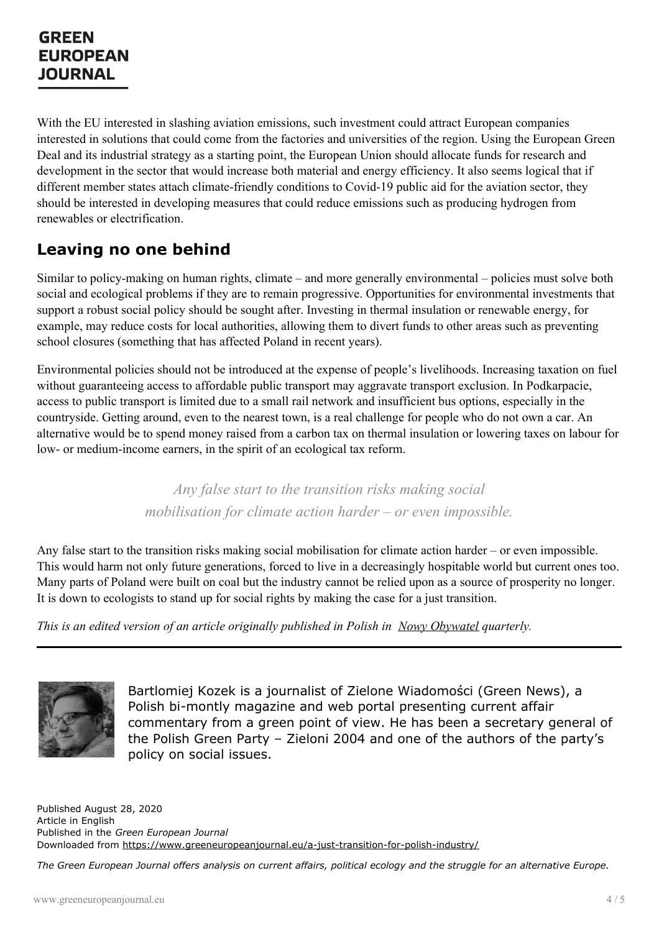With the EU interested in slashing aviation emissions, such investment could attract European companies interested in solutions that could come from the factories and universities of the region. Using the European Green Deal and its industrial strategy as a starting point, the European Union should allocate funds for research and development in the sector that would increase both material and energy efficiency. It also seems logical that if different member states attach climate-friendly conditions to Covid-19 public aid for the aviation sector, they should be interested in developing measures that could reduce emissions such as producing hydrogen from renewables or electrification.

## **Leaving no one behind**

Similar to policy-making on human rights, climate – and more generally environmental – policies must solve both social and ecological problems if they are to remain progressive. Opportunities for environmental investments that support a robust social policy should be sought after. Investing in thermal insulation or renewable energy, for example, may reduce costs for local authorities, allowing them to divert funds to other areas such as preventing school closures (something that has affected Poland in recent years).

Environmental policies should not be introduced at the expense of people's livelihoods. Increasing taxation on fuel without guaranteeing access to affordable public transport may aggravate transport exclusion. In Podkarpacie, access to public transport is limited due to a small rail network and insufficient bus options, especially in the countryside. Getting around, even to the nearest town, is a real challenge for people who do not own a car. An alternative would be to spend money raised from a carbon tax on thermal insulation or lowering taxes on labour for low- or medium-income earners, in the spirit of an ecological tax reform.

> *Any false start to the transition risks making social mobilisation for climate action harder – or even impossible.*

Any false start to the transition risks making social mobilisation for climate action harder – or even impossible. This would harm not only future generations, forced to live in a decreasingly hospitable world but current ones too. Many parts of Poland were built on coal but the industry cannot be relied upon as a source of prosperity no longer. It is down to ecologists to stand up for social rights by making the case for a just transition.

*This is an edited version of an article originally published in Polish in Nowy [Obywatel](https://nowyobywatel.pl/2019/09/17/czy-transformacja-ekologiczna-moze-byc-sprawiedliwa-spolecznie/) quarterly.*



Bartlomiej Kozek is a journalist of Zielone Wiadomości (Green News), a Polish bi-montly magazine and web portal presenting current affair commentary from a green point of view. He has been a secretary general of the Polish Green Party – Zieloni 2004 and one of the authors of the party's policy on social issues.

Published August 28, 2020 Article in English Published in the *Green European Journal* Downloaded from <https://www.greeneuropeanjournal.eu/a-just-transition-for-polish-industry/>

The Green European Journal offers analysis on current affairs, political ecology and the struggle for an alternative Europe.